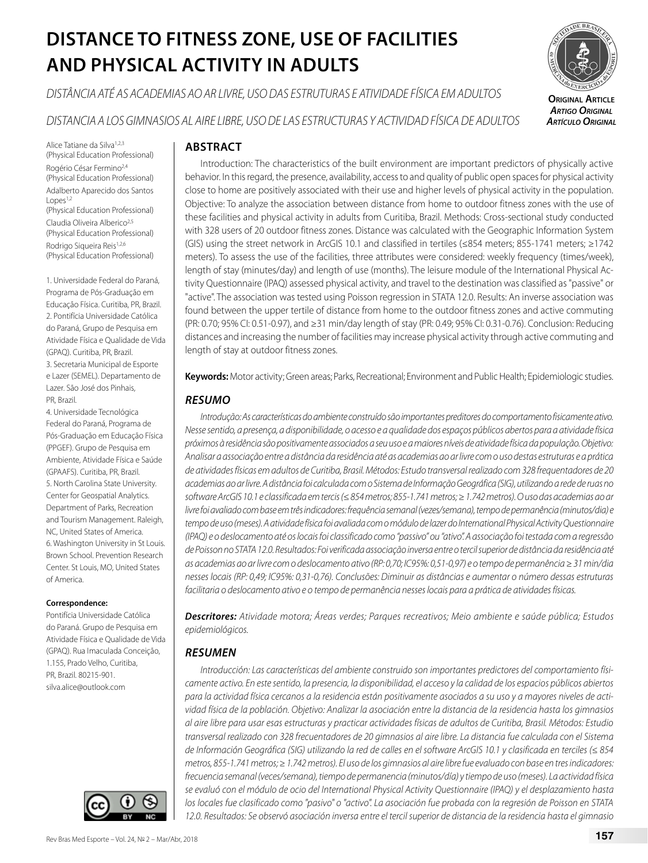# **DISTANCE TO FITNESS ZONE, USE OF FACILITIES AND PHYSICAL ACTIVITY IN ADULTS**

*DISTÂNCIA ATÉ AS ACADEMIAS AO AR LIVRE, USO DAS ESTRUTURAS E ATIVIDADE FÍSICA EM ADULTOS*

*DISTANCIA A LOS GIMNASIOS AL AIRE LIBRE, USO DE LAS ESTRUCTURAS Y ACTIVIDAD FÍSICA DE ADULTOS*

Alice Tatiane da Silva<sup>1,2,3</sup> (Physical Education Professional) Rogério César Fermino2,4 (Physical Education Professional) Adalberto Aparecido dos Santos  $Lopes<sup>1,2</sup>$ (Physical Education Professional) Claudia Oliveira Alberico2,5 (Physical Education Professional) Rodrigo Sigueira Reis<sup>1,2,6</sup> (Physical Education Professional)

1. Universidade Federal do Paraná, Programa de Pós-Graduação em Educação Física. Curitiba, PR, Brazil. 2. Pontifícia Universidade Católica do Paraná, Grupo de Pesquisa em Atividade Física e Qualidade de Vida (GPAQ). Curitiba, PR, Brazil. 3. Secretaria Municipal de Esporte e Lazer (SEMEL). Departamento de Lazer. São José dos Pinhais, PR, Brazil.

4. Universidade Tecnológica Federal do Paraná, Programa de Pós-Graduação em Educação Física (PPGEF). Grupo de Pesquisa em Ambiente, Atividade Física e Saúde (GPAAFS). Curitiba, PR, Brazil. 5. North Carolina State University. Center for Geospatial Analytics. Department of Parks, Recreation and Tourism Management. Raleigh, NC, United States of America. 6. Washington University in St Louis. Brown School. Prevention Research Center. St Louis, MO, United States of America.

## **Correspondence:**

Pontifícia Universidade Católica do Paraná. Grupo de Pesquisa em Atividade Física e Qualidade de Vida (GPAQ). Rua Imaculada Conceição, 1.155, Prado Velho, Curitiba, PR, Brazil. 80215-901. silva.alice@outlook.com



# **ABSTRACT**

Introduction: The characteristics of the built environment are important predictors of physically active behavior. In this regard, the presence, availability, access to and quality of public open spaces for physical activity close to home are positively associated with their use and higher levels of physical activity in the population. Objective: To analyze the association between distance from home to outdoor fitness zones with the use of these facilities and physical activity in adults from Curitiba, Brazil. Methods: Cross-sectional study conducted with 328 users of 20 outdoor fitness zones. Distance was calculated with the Geographic Information System (GIS) using the street network in ArcGIS 10.1 and classified in tertiles (≤854 meters; 855-1741 meters; ≥1742 meters). To assess the use of the facilities, three attributes were considered: weekly frequency (times/week), length of stay (minutes/day) and length of use (months). The leisure module of the International Physical Activity Questionnaire (IPAQ) assessed physical activity, and travel to the destination was classified as "passive" or "active". The association was tested using Poisson regression in STATA 12.0. Results: An inverse association was found between the upper tertile of distance from home to the outdoor fitness zones and active commuting (PR: 0.70; 95% CI: 0.51-0.97), and ≥31 min/day length of stay (PR: 0.49; 95% CI: 0.31-0.76). Conclusion: Reducing distances and increasing the number of facilities may increase physical activity through active commuting and length of stay at outdoor fitness zones.

**Keywords:** Motor activity; Green areas; Parks, Recreational; Environment and Public Health; Epidemiologic studies.

# *RESUMO*

*Introdução: As características do ambiente construído são importantes preditores do comportamento fisicamente ativo. Nesse sentido, a presença, a disponibilidade, o acesso e a qualidade dos espaços públicos abertos para a atividade física próximos à residência são positivamente associados a seu uso e a maiores níveis de atividade física da população. Objetivo: Analisar a associação entre a distância da residência até as academias ao ar livre com o uso destas estruturas e a prática de atividades físicas em adultos de Curitiba, Brasil. Métodos: Estudo transversal realizado com 328 frequentadores de 20 academias ao ar livre. A distância foi calculada com o Sistema de Informação Geográfica (SIG), utilizando a rede de ruas no software ArcGIS 10.1 e classificada em tercis (≤ 854 metros; 855-1.741 metros; ≥ 1.742 metros). O uso das academias ao ar livre foi avaliado com base em três indicadores: frequência semanal (vezes/semana), tempo de permanência (minutos/dia) e tempo de uso (meses). A atividade física foi avaliada com o módulo de lazer do International Physical Activity Questionnaire (IPAQ) e o deslocamento até os locais foi classificado como "passivo" ou "ativo". A associação foi testada com a regressão de Poisson no STATA 12.0. Resultados: Foi verificada associação inversa entre o tercil superior de distância da residência até as academias ao ar livre com o deslocamento ativo (RP: 0,70; IC95%: 0,51-0,97) e o tempo de permanência ≥ 31 min/dia nesses locais (RP: 0,49; IC95%: 0,31-0,76). Conclusões: Diminuir as distâncias e aumentar o número dessas estruturas facilitaria o deslocamento ativo e o tempo de permanência nesses locais para a prática de atividades físicas.* 

*Descritores: Atividade motora; Áreas verdes; Parques recreativos; Meio ambiente e saúde pública; Estudos epidemiológicos.*

# *RESUMEN*

*Introducción: Las características del ambiente construido son importantes predictores del comportamiento físicamente activo. En este sentido, la presencia, la disponibilidad, el acceso y la calidad de los espacios públicos abiertos para la actividad física cercanos a la residencia están positivamente asociados a su uso y a mayores niveles de actividad física de la población. Objetivo: Analizar la asociación entre la distancia de la residencia hasta los gimnasios al aire libre para usar esas estructuras y practicar actividades físicas de adultos de Curitiba, Brasil. Métodos: Estudio transversal realizado con 328 frecuentadores de 20 gimnasios al aire libre. La distancia fue calculada con el Sistema de Información Geográfica (SIG) utilizando la red de calles en el software ArcGIS 10.1 y clasificada en terciles (≤ 854 metros, 855-1.741 metros; ≥ 1.742 metros). El uso de los gimnasios al aire libre fue evaluado con base en tres indicadores: frecuencia semanal (veces/semana), tiempo de permanencia (minutos/día) y tiempo de uso (meses). La actividad física se evaluó con el módulo de ocio del International Physical Activity Questionnaire (IPAQ) y el desplazamiento hasta los locales fue clasificado como "pasivo" o "activo". La asociación fue probada con la regresión de Poisson en STATA 12.0. Resultados: Se observó asociación inversa entre el tercil superior de distancia de la residencia hasta el gimnasio* 

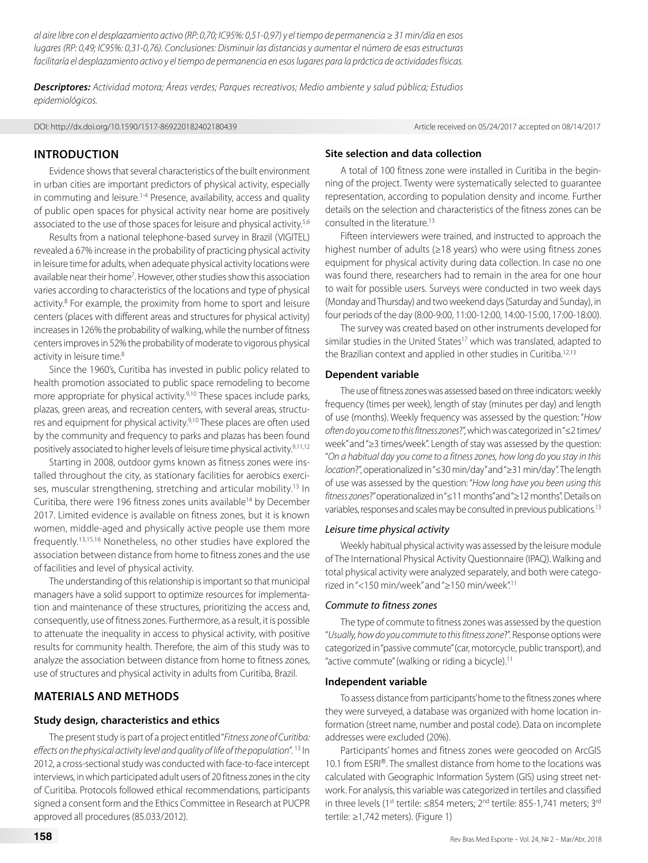*al aire libre con el desplazamiento activo (RP: 0,70; IC95%: 0,51-0,97) y el tiempo de permanencia ≥ 31 min/día en esos lugares (RP: 0,49; IC95%: 0,31-0,76). Conclusiones: Disminuir las distancias y aumentar el número de esas estructuras facilitaría el desplazamiento activo y el tiempo de permanencia en esos lugares para la práctica de actividades físicas.*

*Descriptores: Actividad motora; Áreas verdes; Parques recreativos; Medio ambiente y salud pública; Estudios epidemiológicos.*

DOI: http://dx.doi.org/10.1590/1517-869220182402180439 Article received on 05/24/2017 accepted on 08/14/2017

## **INTRODUCTION**

Evidence shows that several characteristics of the built environment in urban cities are important predictors of physical activity, especially in commuting and leisure.<sup>1-4</sup> Presence, availability, access and quality of public open spaces for physical activity near home are positively associated to the use of those spaces for leisure and physical activity.<sup>5,6</sup>

Results from a national telephone-based survey in Brazil (VIGITEL) revealed a 67% increase in the probability of practicing physical activity in leisure time for adults, when adequate physical activity locations were available near their home<sup>7</sup>. However, other studies show this association varies according to characteristics of the locations and type of physical activity.<sup>8</sup> For example, the proximity from home to sport and leisure centers (places with different areas and structures for physical activity) increases in 126% the probability of walking, while the number of fitness centers improves in 52% the probability of moderate to vigorous physical activity in leisure time.<sup>8</sup>

Since the 1960's, Curitiba has invested in public policy related to health promotion associated to public space remodeling to become more appropriate for physical activity.<sup>9,10</sup> These spaces include parks, plazas, green areas, and recreation centers, with several areas, structures and equipment for physical activity.<sup>9,10</sup> These places are often used by the community and frequency to parks and plazas has been found positively associated to higher levels of leisure time physical activity.<sup>9,11,12</sup>

Starting in 2008, outdoor gyms known as fitness zones were installed throughout the city, as stationary facilities for aerobics exercises, muscular strengthening, stretching and articular mobility.<sup>13</sup> In Curitiba, there were 196 fitness zones units available<sup>14</sup> by December 2017. Limited evidence is available on fitness zones, but it is known women, middle-aged and physically active people use them more frequently.13,15,16 Nonetheless, no other studies have explored the association between distance from home to fitness zones and the use of facilities and level of physical activity.

The understanding of this relationship is important so that municipal managers have a solid support to optimize resources for implementation and maintenance of these structures, prioritizing the access and, consequently, use of fitness zones. Furthermore, as a result, it is possible to attenuate the inequality in access to physical activity, with positive results for community health. Therefore, the aim of this study was to analyze the association between distance from home to fitness zones, use of structures and physical activity in adults from Curitiba, Brazil.

# **MATERIALS AND METHODS**

## **Study design, characteristics and ethics**

The present study is part of a project entitled "*Fitness zone of Curitiba: effects on the physical activity level and quality of life of the population*". 13 In 2012, a cross-sectional study was conducted with face-to-face intercept interviews, in which participated adult users of 20 fitness zones in the city of Curitiba. Protocols followed ethical recommendations, participants signed a consent form and the Ethics Committee in Research at PUCPR approved all procedures (85.033/2012).

# **Site selection and data collection**

A total of 100 fitness zone were installed in Curitiba in the beginning of the project. Twenty were systematically selected to guarantee representation, according to population density and income. Further details on the selection and characteristics of the fitness zones can be consulted in the literature<sup>13</sup>

Fifteen interviewers were trained, and instructed to approach the highest number of adults (≥18 years) who were using fitness zones equipment for physical activity during data collection. In case no one was found there, researchers had to remain in the area for one hour to wait for possible users. Surveys were conducted in two week days (Monday and Thursday) and two weekend days (Saturday and Sunday), in four periods of the day (8:00-9:00, 11:00-12:00, 14:00-15:00, 17:00-18:00).

The survey was created based on other instruments developed for similar studies in the United States<sup>17</sup> which was translated, adapted to the Brazilian context and applied in other studies in Curitiba.<sup>12,13</sup>

#### **Dependent variable**

The use of fitness zones was assessed based on three indicators: weekly frequency (times per week), length of stay (minutes per day) and length of use (months). Weekly frequency was assessed by the question: "*How often do you come to this fitness zones*?", which was categorized in "≤2 times/ week" and "≥3 times/week". Length of stay was assessed by the question: "*On a habitual day you come to a fitness zones, how long do you stay in this location*?", operationalized in "≤30 min/day" and "≥31 min/day". The length of use was assessed by the question: "*How long have you been using this fitness zones*?" operationalized in "≤11 months" and "≥12 months". Details on variables, responses and scales may be consulted in previous publications.13

#### *Leisure time physical activity*

Weekly habitual physical activity was assessed by the leisure module of The International Physical Activity Questionnaire (IPAQ). Walking and total physical activity were analyzed separately, and both were categorized in "<150 min/week" and "≥150 min/week".11

#### *Commute to fitness zones*

The type of commute to fitness zones was assessed by the question "*Usually, how do you commute to this fitness zone*?". Response options were categorized in "passive commute" (car, motorcycle, public transport), and "active commute" (walking or riding a bicycle).11

### **Independent variable**

To assess distance from participants' home to the fitness zones where they were surveyed, a database was organized with home location information (street name, number and postal code). Data on incomplete addresses were excluded (20%).

Participants' homes and fitness zones were geocoded on ArcGIS 10.1 from ESRI®. The smallest distance from home to the locations was calculated with Geographic Information System (GIS) using street network. For analysis, this variable was categorized in tertiles and classified in three levels (1<sup>st</sup> tertile: ≤854 meters; 2<sup>nd</sup> tertile: 855-1,741 meters; 3<sup>rd</sup> tertile: ≥1,742 meters). (Figure 1)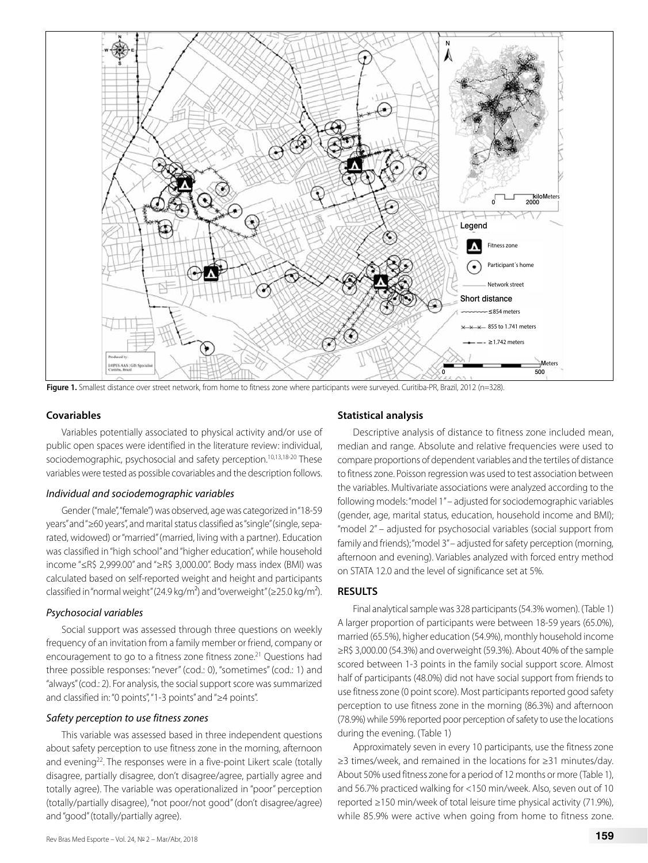

Figure 1. Smallest distance over street network, from home to fitness zone where participants were surveyed. Curitiba-PR, Brazil, 2012 (n=328).

#### **Covariables**

Variables potentially associated to physical activity and/or use of public open spaces were identified in the literature review: individual, sociodemographic, psychosocial and safety perception.<sup>10,13,18-20</sup> These variables were tested as possible covariables and the description follows.

#### *Individual and sociodemographic variables*

Gender ("male", "female") was observed, age was categorized in "18-59 years" and "≥60 years", and marital status classified as "single" (single, separated, widowed) or "married" (married, living with a partner). Education was classified in "high school" and "higher education", while household income "≤R\$ 2,999.00" and "≥R\$ 3,000.00". Body mass index (BMI) was calculated based on self-reported weight and height and participants classified in "normal weight" (24.9 kg/m<sup>2</sup>) and "overweight" ( $\ge$ 25.0 kg/m<sup>2</sup>).

#### *Psychosocial variables*

Social support was assessed through three questions on weekly frequency of an invitation from a family member or friend, company or encouragement to go to a fitness zone fitness zone.<sup>21</sup> Questions had three possible responses: "never" (cod.: 0), "sometimes" (cod.: 1) and "always" (cod.: 2). For analysis, the social support score was summarized and classified in: "0 points", "1-3 points" and "≥4 points".

#### *Safety perception to use fitness zones*

This variable was assessed based in three independent questions about safety perception to use fitness zone in the morning, afternoon and evening<sup>22</sup>. The responses were in a five-point Likert scale (totally disagree, partially disagree, don't disagree/agree, partially agree and totally agree). The variable was operationalized in "poor" perception (totally/partially disagree), "not poor/not good" (don't disagree/agree) and "good" (totally/partially agree).

# Rev Bras Med Esporte – Vol. 24, № 2 – Mar/Abr, 2018 **159**

#### **Statistical analysis**

Descriptive analysis of distance to fitness zone included mean, median and range. Absolute and relative frequencies were used to compare proportions of dependent variables and the tertiles of distance to fitness zone. Poisson regression was used to test association between the variables. Multivariate associations were analyzed according to the following models: "model 1" – adjusted for sociodemographic variables (gender, age, marital status, education, household income and BMI); "model 2" – adjusted for psychosocial variables (social support from family and friends); "model 3" – adjusted for safety perception (morning, afternoon and evening). Variables analyzed with forced entry method on STATA 12.0 and the level of significance set at 5%.

#### **RESULTS**

Final analytical sample was 328 participants (54.3% women). (Table 1) A larger proportion of participants were between 18-59 years (65.0%), married (65.5%), higher education (54.9%), monthly household income ≥R\$ 3,000.00 (54.3%) and overweight (59.3%). About 40% of the sample scored between 1-3 points in the family social support score. Almost half of participants (48.0%) did not have social support from friends to use fitness zone (0 point score). Most participants reported good safety perception to use fitness zone in the morning (86.3%) and afternoon (78.9%) while 59% reported poor perception of safety to use the locations during the evening. (Table 1)

Approximately seven in every 10 participants, use the fitness zone ≥3 times/week, and remained in the locations for ≥31 minutes/day. About 50% used fitness zone for a period of 12 months or more (Table 1), and 56.7% practiced walking for <150 min/week. Also, seven out of 10 reported ≥150 min/week of total leisure time physical activity (71.9%), while 85.9% were active when going from home to fitness zone.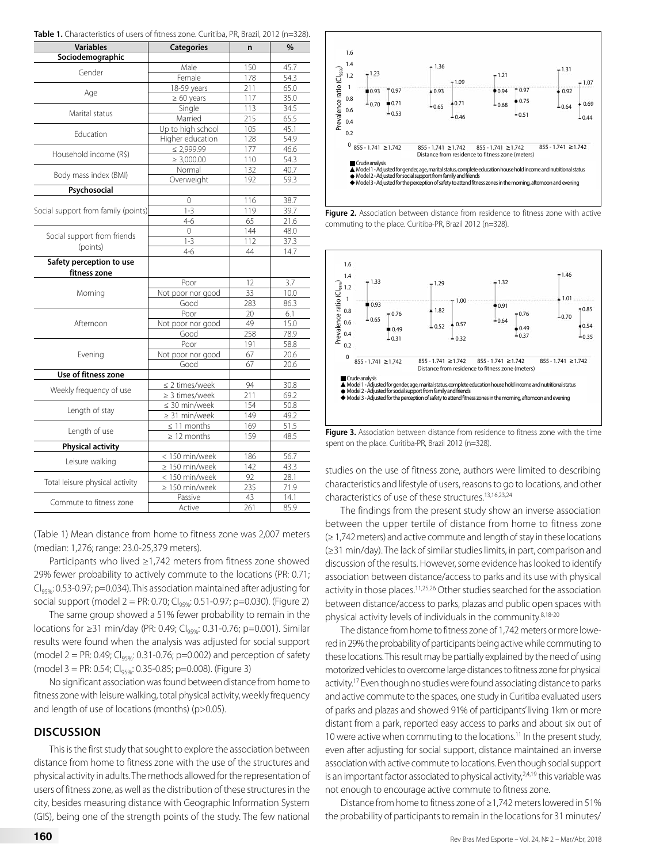|  |  | Table 1. Characteristics of users of fitness zone. Curitiba, PR, Brazil, 2012 (n=328). |  |  |
|--|--|----------------------------------------------------------------------------------------|--|--|
|--|--|----------------------------------------------------------------------------------------|--|--|

| Variables                           | <b>Categories</b>   | n   | %    |
|-------------------------------------|---------------------|-----|------|
| Sociodemographic                    |                     |     |      |
|                                     | Male                | 150 | 45.7 |
| Gender                              | Female              | 178 | 54.3 |
|                                     | 18-59 years         | 211 | 65.0 |
| Age                                 | $\geq 60$ years     | 117 | 35.0 |
|                                     | Single              | 113 | 34.5 |
| Marital status                      | Married             | 215 | 65.5 |
| Education                           | Up to high school   | 105 | 45.1 |
|                                     | Higher education    | 128 | 54.9 |
| Household income (R\$)              | $\leq 2,999.99$     | 177 | 46.6 |
|                                     | $\geq 3,000.00$     | 110 | 54.3 |
| Body mass index (BMI)               | Normal              | 132 | 40.7 |
|                                     | Overweight          | 192 | 59.3 |
| Psychosocial                        |                     |     |      |
|                                     | 0                   | 116 | 38.7 |
| Social support from family (points) | $1 - 3$             | 119 | 39.7 |
|                                     | $4 - 6$             | 65  | 21.6 |
| Social support from friends         | $\mathbf 0$         | 144 | 48.0 |
|                                     | $1 - 3$             | 112 | 37.3 |
| (points)                            | $4 - 6$             | 44  | 14.7 |
| Safety perception to use            |                     |     |      |
| fitness zone                        |                     |     |      |
|                                     | Poor                | 12  | 3.7  |
| Morning                             | Not poor nor good   | 33  | 10.0 |
|                                     | Good                | 283 | 86.3 |
|                                     | Poor                | 20  | 6.1  |
| Afternoon                           | Not poor nor good   | 49  | 15.0 |
|                                     | Good                | 258 | 78.9 |
|                                     | Poor                | 191 | 58.8 |
| Evening                             | Not poor nor good   | 67  | 20.6 |
|                                     | Good                | 67  | 20.6 |
| Use of fitness zone                 |                     |     |      |
| Weekly frequency of use             | $\leq$ 2 times/week | 94  | 30.8 |
|                                     | $\geq$ 3 times/week | 211 | 69.2 |
| Length of stay                      | $\leq$ 30 min/week  | 154 | 50.8 |
|                                     | $\geq$ 31 min/week  | 149 | 49.2 |
| Length of use                       | $\leq$ 11 months    | 169 | 51.5 |
|                                     | $\geq$ 12 months    | 159 | 48.5 |
| <b>Physical activity</b>            |                     |     |      |
| Leisure walking                     | < 150 min/week      | 186 | 56.7 |
|                                     | $\geq 150$ min/week | 142 | 43.3 |
| Total leisure physical activity     | < 150 min/week      | 92  | 28.1 |
|                                     | $\geq 150$ min/week | 235 | 71.9 |
| Commute to fitness zone             | Passive             | 43  | 14.1 |
|                                     | Active              | 261 | 85.9 |

(Table 1) Mean distance from home to fitness zone was 2,007 meters (median: 1,276; range: 23.0-25,379 meters).

Participants who lived ≥1,742 meters from fitness zone showed 29% fewer probability to actively commute to the locations (PR: 0.71;  $C<sub>lq596</sub>: 0.53-0.97; p=0.034$ ). This association maintained after adjusting for social support (model 2 = PR: 0.70;  $Cl_{q, q, q}$ : 0.51-0.97; p=0.030). (Figure 2)

The same group showed a 51% fewer probability to remain in the locations for ≥31 min/day (PR: 0.49; Cl<sub>95%</sub>: 0.31-0.76; p=0.001). Similar results were found when the analysis was adjusted for social support (model 2 = PR: 0.49;  $Cl_{9596}$ : 0.31-0.76; p=0.002) and perception of safety (model 3 = PR: 0.54; CI95%: 0.35-0.85; p=0.008). (Figure 3)

No significant association was found between distance from home to fitness zone with leisure walking, total physical activity, weekly frequency and length of use of locations (months) (p>0.05).

## **DISCUSSION**

This is the first study that sought to explore the association between distance from home to fitness zone with the use of the structures and physical activity in adults. The methods allowed for the representation of users of fitness zone, as well as the distribution of these structures in the city, besides measuring distance with Geographic Information System (GIS), being one of the strength points of the study. The few national



**Figure 2.** Association between distance from residence to fitness zone with active commuting to the place. Curitiba-PR, Brazil 2012 (n=328).



**Figure 3.** Association between distance from residence to fitness zone with the time spent on the place. Curitiba-PR, Brazil 2012 (n=328).

studies on the use of fitness zone, authors were limited to describing characteristics and lifestyle of users, reasons to go to locations, and other characteristics of use of these structures.13,16,23,24

The findings from the present study show an inverse association between the upper tertile of distance from home to fitness zone (≥ 1,742 meters) and active commute and length of stay in these locations (≥31 min/day). The lack of similar studies limits, in part, comparison and discussion of the results. However, some evidence has looked to identify association between distance/access to parks and its use with physical activity in those places.<sup>11,25,26</sup> Other studies searched for the association between distance/access to parks, plazas and public open spaces with physical activity levels of individuals in the community.8,18-20

The distance from home to fitness zone of 1,742 meters or more lowered in 29% the probability of participants being active while commuting to these locations. This result may be partially explained by the need of using motorized vehicles to overcome large distances to fitness zone for physical activity.<sup>17</sup> Even though no studies were found associating distance to parks and active commute to the spaces, one study in Curitiba evaluated users of parks and plazas and showed 91% of participants' living 1km or more distant from a park, reported easy access to parks and about six out of 10 were active when commuting to the locations.<sup>11</sup> In the present study, even after adjusting for social support, distance maintained an inverse association with active commute to locations. Even though social support is an important factor associated to physical activity, $24,19$  this variable was not enough to encourage active commute to fitness zone.

Distance from home to fitness zone of ≥1,742 meters lowered in 51% the probability of participants to remain in the locations for 31 minutes/